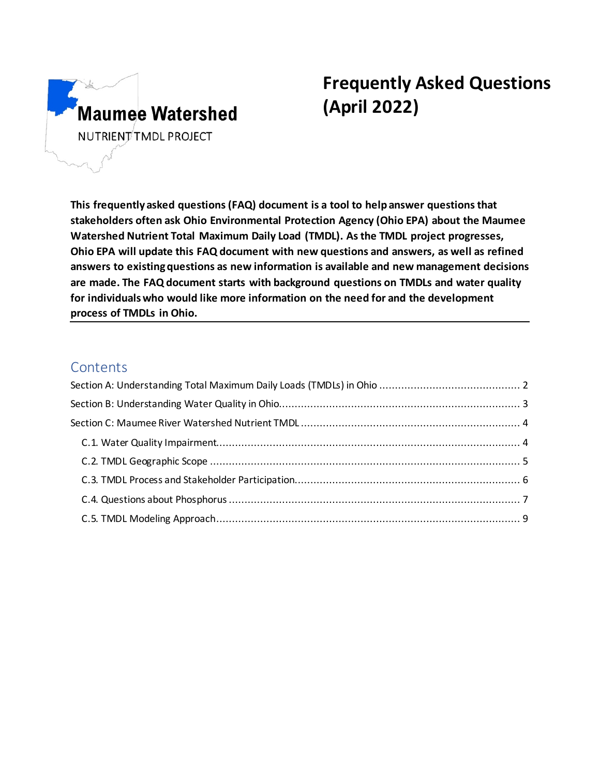

# **Frequently Asked Questions (April 2022)**

**This frequently asked questions (FAQ) document is a tool to help answer questions that stakeholders often ask Ohio Environmental Protection Agency (Ohio EPA) about the Maumee Watershed Nutrient Total Maximum Daily Load (TMDL). As the TMDL project progresses, Ohio EPA will update this FAQ document with new questions and answers, as well as refined answers to existing questions as new information is available and new management decisions are made. The FAQ document starts with background questions on TMDLs and water quality for individuals who would like more information on the need for and the development process of TMDLs in Ohio.**

# **Contents**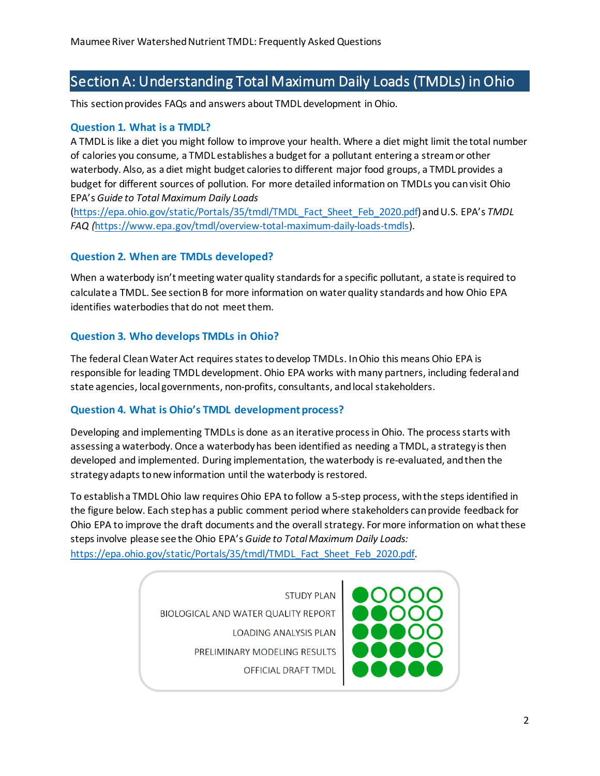# <span id="page-1-0"></span>Section A: Understanding Total Maximum Daily Loads (TMDLs) in Ohio

This section provides FAQs and answers about TMDL development in Ohio.

#### **Question 1. What is a TMDL?**

A TMDL is like a diet you might follow to improve your health. Where a diet might limit the total number of calories you consume, a TMDL establishes a budget for a pollutant entering a stream or other waterbody. Also, as a diet might budget calories to different major food groups, a TMDL provides a budget for different sources of pollution. For more detailed information on TMDLs you can visit Ohio EPA's *Guide to Total Maximum Daily Loads*

[\(https://epa.ohio.gov/static/Portals/35/tmdl/TMDL\\_Fact\\_Sheet\\_Feb\\_2020.pdf\)](https://epa.ohio.gov/static/Portals/35/tmdl/TMDL_Fact_Sheet_Feb_2020.pdf) and U.S. EPA's *TMDL FAQ (*[https://www.epa.gov/tmdl/overview-total-maximum-daily-loads-tmdls\)](https://www.epa.gov/tmdl/overview-total-maximum-daily-loads-tmdls).

#### **Question 2. When are TMDLs developed?**

When a waterbody isn't meeting water quality standards for a specific pollutant, a state is required to calculate a TMDL. See section B for more information on water quality standards and how Ohio EPA identifies waterbodies that do not meet them.

#### **Question 3. Who develops TMDLs in Ohio?**

The federal Clean Water Act requires states to develop TMDLs. In Ohio this means Ohio EPA is responsible for leading TMDL development. Ohio EPA works with many partners, including federal and state agencies, local governments, non-profits, consultants, and local stakeholders.

#### **Question 4. What is Ohio's TMDL development process?**

Developing and implementing TMDLs is done as an iterative processin Ohio. The process starts with assessing a waterbody. Once a waterbody has been identified as needing a TMDL, a strategy is then developed and implemented. During implementation, the waterbody is re-evaluated, and then the strategy adapts to new information until the waterbody is restored.

To establish a TMDL Ohio law requires Ohio EPA to follow a 5-step process, with the steps identified in the figure below. Each step has a public comment period where stakeholders can provide feedback for Ohio EPA to improve the draft documents and the overall strategy. For more information on what these steps involve please see the Ohio EPA's *Guide to Total Maximum Daily Loads:* [https://epa.ohio.gov/static/Portals/35/tmdl/TMDL\\_Fact\\_Sheet\\_Feb\\_2020.pdf.](https://epa.ohio.gov/static/Portals/35/tmdl/TMDL_Fact_Sheet_Feb_2020.pdf)

> **STUDY PLAN** BIOLOGICAL AND WATER QUALITY REPORT **LOADING ANALYSIS PLAN** PRELIMINARY MODELING RESULTS OFFICIAL DRAFT TMDL

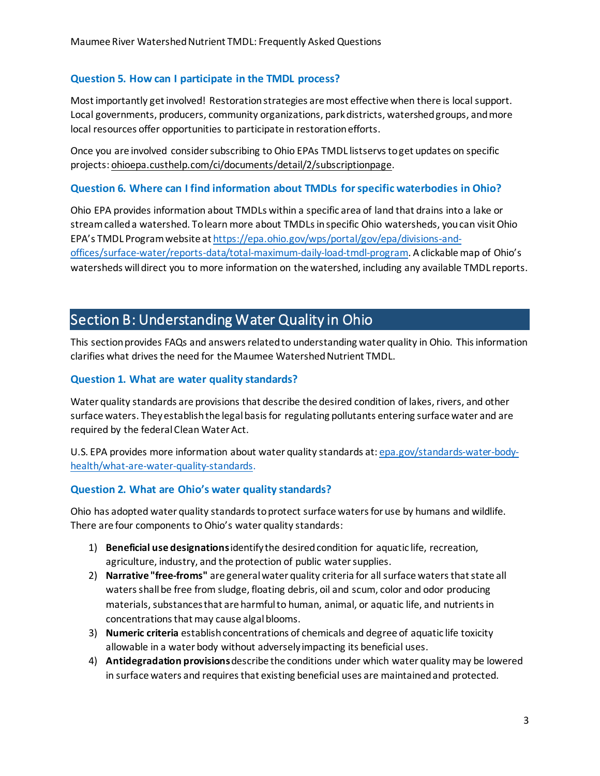#### **Question 5. How can I participate in the TMDL process?**

Most importantly get involved! Restoration strategies are most effective when there is local support. Local governments, producers, community organizations, park districts, watershed groups, and more local resources offer opportunities to participate in restoration efforts.

Once you are involved consider subscribing to Ohio EPAs TMDL listservs to get updates on specific projects[: ohioepa.custhelp.com/ci/documents/detail/2/subscriptionpage.](https://ohioepa.custhelp.com/app/utils/login_form/redirect/account%252Fprofile?p_ptaid=fUQUKZLTlrJ4aF9t6agHj%7Eey8V8TAw8e2cHeSZzFOII2MCIV_wQy%7EPhOWanqh1SVhtM_Psvn8qqsfX15lsatw40TNRhPFkdCtfmaL6%7EYabjMn8M050kq9JQg%21%21)

#### **Question 6. Where can I find information about TMDLs for specific waterbodies in Ohio?**

Ohio EPA provides information about TMDLs within a specific area of land that drains into a lake or streamcalled a watershed. To learn more about TMDLs in specific Ohio watersheds, you can visit Ohio EPA's TMDL Program website a[t https://epa.ohio.gov/wps/portal/gov/epa/divisions-and](https://epa.ohio.gov/wps/portal/gov/epa/divisions-and-offices/surface-water/reports-data/total-maximum-daily-load-tmdl-program)[offices/surface-water/reports-data/total-maximum-daily-load-tmdl-program.](https://epa.ohio.gov/wps/portal/gov/epa/divisions-and-offices/surface-water/reports-data/total-maximum-daily-load-tmdl-program) A clickable map of Ohio's watersheds will direct you to more information on the watershed, including any available TMDL reports.

# <span id="page-2-0"></span>Section B: Understanding Water Quality in Ohio

This section provides FAQs and answers related to understanding water quality in Ohio. This information clarifies what drives the need for the Maumee Watershed Nutrient TMDL.

#### **Question 1. What are water quality standards?**

Water quality standards are provisions that describe the desired condition of lakes, rivers, and other surface waters. They establish the legal basis for regulating pollutants entering surface water and are required by the federal Clean Water Act.

U.S. EPA provides more information about water quality standards at: [epa.gov/standards-water-body](https://www.epa.gov/standards-water-body-health/what-are-water-quality-standards)[health/what-are-water-quality-standards](https://www.epa.gov/standards-water-body-health/what-are-water-quality-standards).

#### **Question 2. What are Ohio's water quality standards?**

Ohio has adopted water quality standards to protect surface waters for use by humans and wildlife. There are four components to Ohio's water quality standards:

- 1) **Beneficial use designations**identify the desired condition for aquatic life, recreation, agriculture, industry, and the protection of public water supplies.
- 2) **Narrative "free-froms"** are general water quality criteria for all surface waters that state all waters shall be free from sludge, floating debris, oil and scum, color and odor producing materials, substances that are harmful to human, animal, or aquatic life, and nutrients in concentrations that may cause algal blooms.
- 3) **Numeric criteria** establishconcentrations of chemicals and degree of aquatic life toxicity allowable in a water body without adversely impacting its beneficial uses.
- 4) **Antidegradation provisions**describe the conditions under which water quality may be lowered in surface waters and requires that existing beneficial uses are maintained and protected.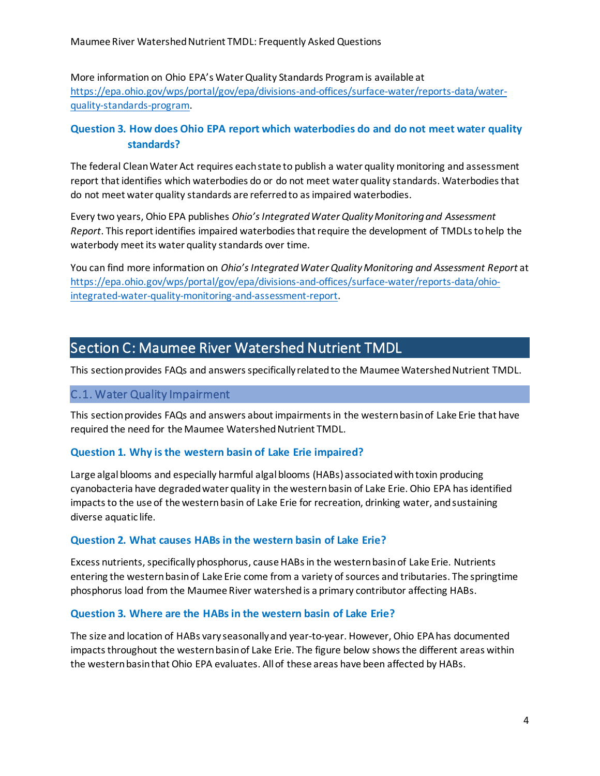More information on Ohio EPA's Water Quality Standards Program is available at [https://epa.ohio.gov/wps/portal/gov/epa/divisions-and-offices/surface-water/reports-data/water](https://epa.ohio.gov/wps/portal/gov/epa/divisions-and-offices/surface-water/reports-data/water-quality-standards-program)[quality-standards-program.](https://epa.ohio.gov/wps/portal/gov/epa/divisions-and-offices/surface-water/reports-data/water-quality-standards-program)

# **Question 3. How does Ohio EPA report which waterbodies do and do not meet water quality standards?**

The federal Clean Water Act requires each state to publish a water quality monitoring and assessment report that identifies which waterbodies do or do not meet water quality standards. Waterbodies that do not meet water quality standards are referred to as impaired waterbodies.

Every two years, Ohio EPA publishes *Ohio's Integrated Water Quality Monitoring and Assessment Report*. This report identifies impaired waterbodies that require the development of TMDLs to help the waterbody meet its water quality standards over time.

You can find more information on *Ohio's Integrated Water Quality Monitoring and Assessment Report* at [https://epa.ohio.gov/wps/portal/gov/epa/divisions-and-offices/surface-water/reports-data/ohio](https://epa.ohio.gov/wps/portal/gov/epa/divisions-and-offices/surface-water/reports-data/ohio-integrated-water-quality-monitoring-and-assessment-report)[integrated-water-quality-monitoring-and-assessment-report](https://epa.ohio.gov/wps/portal/gov/epa/divisions-and-offices/surface-water/reports-data/ohio-integrated-water-quality-monitoring-and-assessment-report).

# <span id="page-3-0"></span>Section C: Maumee River Watershed Nutrient TMDL

This section provides FAQs and answers specifically related to the Maumee Watershed Nutrient TMDL.

#### <span id="page-3-1"></span>C.1. Water Quality Impairment

This section provides FAQs and answers about impairments in the western basin of Lake Erie that have required the need for the Maumee Watershed Nutrient TMDL.

### **Question 1. Why is the western basin of Lake Erie impaired?**

Large algal blooms and especially harmful algal blooms (HABs) associated with toxin producing cyanobacteria have degraded water quality in the western basin of Lake Erie. Ohio EPA has identified impacts to the use of the western basin of Lake Erie for recreation, drinking water, and sustaining diverse aquatic life.

#### **Question 2. What causes HABs in the western basin of Lake Erie?**

Excess nutrients, specifically phosphorus, cause HABs in the western basin of Lake Erie. Nutrients entering the western basin of Lake Erie come from a variety of sources and tributaries. The springtime phosphorus load from the Maumee River watershedis a primary contributor affecting HABs.

#### **Question 3. Where are the HABs in the western basin of Lake Erie?**

The size and location of HABs vary seasonally and year-to-year. However, Ohio EPA has documented impacts throughout the western basin of Lake Erie. The figure below shows the different areas within the western basin that Ohio EPA evaluates. All of these areas have been affected by HABs.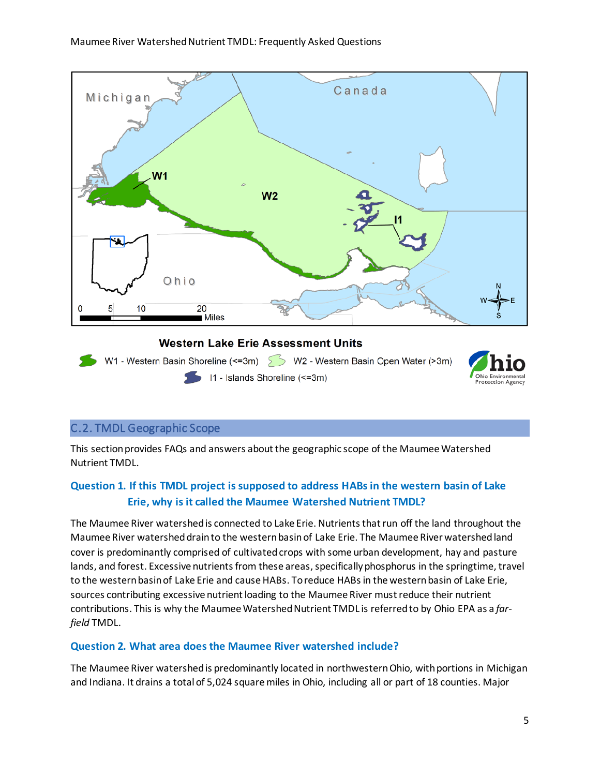

### <span id="page-4-0"></span>C.2. TMDL Geographic Scope

This section provides FAQs and answers about the geographic scope of the Maumee Watershed Nutrient TMDL.

# **Question 1. If this TMDL project is supposed to address HABs in the western basin of Lake Erie, why is it called the Maumee Watershed Nutrient TMDL?**

The Maumee River watershed is connected to Lake Erie. Nutrients that run off the land throughout the Maumee River watershed drain to the western basin of Lake Erie. The Maumee River watershed land cover is predominantly comprised of cultivated crops with some urban development, hay and pasture lands, and forest. Excessive nutrients from these areas, specifically phosphorus in the springtime, travel to the western basin of Lake Erie and cause HABs. To reduce HABs in the western basin of Lake Erie, sources contributing excessive nutrient loading to the Maumee River must reduce their nutrient contributions. This is why the Maumee Watershed Nutrient TMDL is referred to by Ohio EPA as a *farfield* TMDL.

#### **Question 2. What area does the Maumee River watershed include?**

The Maumee River watershed is predominantly located in northwestern Ohio, with portions in Michigan and Indiana. It drains a total of 5,024 square miles in Ohio, including all or part of 18 counties. Major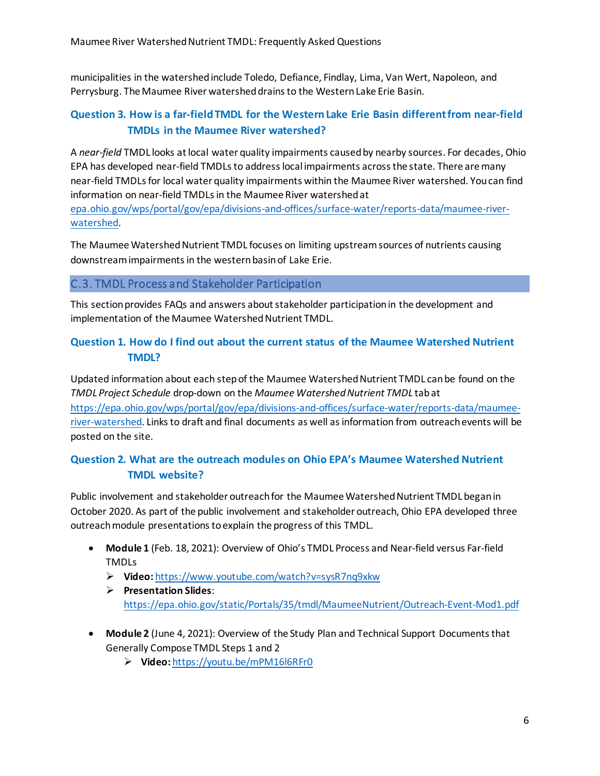municipalities in the watershed include Toledo, Defiance, Findlay, Lima, Van Wert, Napoleon, and Perrysburg. The Maumee River watershed drains to the Western Lake Erie Basin.

# **Question 3. How is a far-field TMDL for the Western Lake Erie Basin different from near-field TMDLs in the Maumee River watershed?**

A *near-field* TMDL looks at local water quality impairments caused by nearby sources. For decades, Ohio EPA has developed near-field TMDLs to address local impairments across the state. There are many near-field TMDLs for local water quality impairments within the Maumee River watershed. You can find information on near-field TMDLs in the Maumee River watershed at [epa.ohio.gov/wps/portal/gov/epa/divisions-and-offices/surface-water/reports-data/maumee-river](https://epa.ohio.gov/wps/portal/gov/epa/divisions-and-offices/surface-water/reports-data/maumee-river-watershed)[watershed.](https://epa.ohio.gov/wps/portal/gov/epa/divisions-and-offices/surface-water/reports-data/maumee-river-watershed)

The Maumee Watershed Nutrient TMDL focuses on limiting upstream sources of nutrients causing downstream impairments in the western basin of Lake Erie.

#### <span id="page-5-0"></span>C.3. TMDL Process and Stakeholder Participation

This section provides FAQs and answers about stakeholder participation in the development and implementation of the Maumee Watershed Nutrient TMDL.

## **Question 1. How do I find out about the current status of the Maumee Watershed Nutrient TMDL?**

Updated information about each step of the Maumee Watershed Nutrient TMDL can be found on the *TMDL Project Schedule* drop-down on the *Maumee Watershed Nutrient TMDL* tab at [https://epa.ohio.gov/wps/portal/gov/epa/divisions-and-offices/surface-water/reports-data/maumee](https://epa.ohio.gov/wps/portal/gov/epa/divisions-and-offices/surface-water/reports-data/maumee-river-watershed)[river-watershed.](https://epa.ohio.gov/wps/portal/gov/epa/divisions-and-offices/surface-water/reports-data/maumee-river-watershed) Links to draft and final documents as well as information from outreach events will be posted on the site.

# **Question 2. What are the outreach modules on Ohio EPA's Maumee Watershed Nutrient TMDL website?**

Public involvement and stakeholder outreach for the Maumee Watershed Nutrient TMDL began in October 2020. As part of the public involvement and stakeholder outreach, Ohio EPA developed three outreach module presentations to explain the progress of this TMDL.

- **Module 1** (Feb. 18, 2021): Overview of Ohio's TMDL Process and Near-field versus Far-field TMDLs
	- **Video:** <https://www.youtube.com/watch?v=sysR7nq9xkw>
	- **Presentation Slides**: <https://epa.ohio.gov/static/Portals/35/tmdl/MaumeeNutrient/Outreach-Event-Mod1.pdf>
- **Module 2** (June 4, 2021): Overview of the Study Plan and Technical Support Documents that Generally Compose TMDL Steps 1 and 2
	- **Video:** <https://youtu.be/mPM16l6RFr0>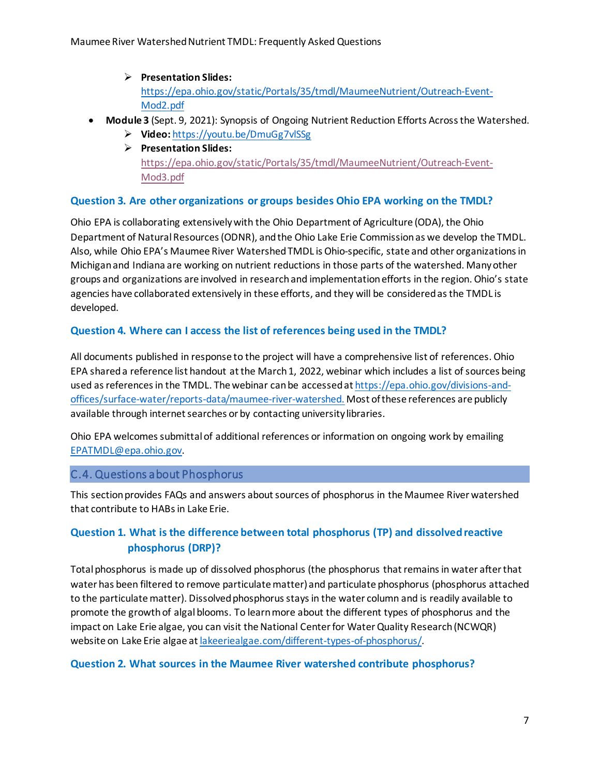**Presentation Slides:** [https://epa.ohio.gov/static/Portals/35/tmdl/MaumeeNutrient/Outreach-Event-](https://epa.ohio.gov/static/Portals/35/tmdl/MaumeeNutrient/Outreach-Event-Mod2.pdf)[Mod2.pdf](https://epa.ohio.gov/static/Portals/35/tmdl/MaumeeNutrient/Outreach-Event-Mod2.pdf)

#### • **Module 3** (Sept. 9, 2021): Synopsis of Ongoing Nutrient Reduction Efforts Across the Watershed.

- **Video:** <https://youtu.be/DmuGg7vlSSg>
- **Presentation Slides:** [https://epa.ohio.gov/static/Portals/35/tmdl/MaumeeNutrient/Outreach-Event-](https://epa.ohio.gov/static/Portals/35/tmdl/MaumeeNutrient/Outreach-Event-Mod3.pdf)[Mod3.pdf](https://epa.ohio.gov/static/Portals/35/tmdl/MaumeeNutrient/Outreach-Event-Mod3.pdf)

#### **Question 3. Are other organizations or groups besides Ohio EPA working on the TMDL?**

Ohio EPA is collaborating extensively with the Ohio Department of Agriculture (ODA), the Ohio Department of Natural Resources (ODNR), and the Ohio Lake Erie Commission as we develop the TMDL. Also, while Ohio EPA's Maumee River Watershed TMDL is Ohio-specific, state and other organizationsin Michigan and Indiana are working on nutrient reductions in those parts of the watershed. Many other groups and organizations are involved in researchand implementation efforts in the region. Ohio's state agencies have collaborated extensively in these efforts, and they will be consideredas the TMDL is developed.

#### **Question 4. Where can I access the list of references being used in the TMDL?**

All documents published in response to the project will have a comprehensive list of references. Ohio EPA shared a reference list handout at the March 1, 2022, webinar which includes a list of sources being used as references in the TMDL. The webinar can be accessed at [https://epa.ohio.gov/divisions-and](https://epa.ohio.gov/divisions-and-offices/surface-water/reports-data/maumee-river-watershed)[offices/surface-water/reports-data/maumee-river-watershed.](https://epa.ohio.gov/divisions-and-offices/surface-water/reports-data/maumee-river-watershed) Most of these references are publicly available through internet searches or by contacting university libraries.

Ohio EPA welcomes submittal of additional references or information on ongoing work by emailing [EPATMDL@epa.ohio.gov.](mailto:EPATMDL@epa.ohio.gov)

#### <span id="page-6-0"></span>C.4. Questions about Phosphorus

This section provides FAQs and answers about sources of phosphorus in the Maumee River watershed that contribute to HABs in Lake Erie.

# **Question 1. What is the difference between total phosphorus (TP) and dissolved reactive phosphorus (DRP)?**

Total phosphorus is made up of dissolved phosphorus (the phosphorus that remains in water after that water has been filtered to remove particulate matter) and particulate phosphorus (phosphorus attached to the particulate matter). Dissolved phosphorus stays in the water column and is readily available to promote the growth of algal blooms. To learn more about the different types of phosphorus and the impact on Lake Erie algae, you can visit the National Center for Water Quality Research (NCWQR) website on Lake Erie algae a[t lakeeriealgae.com/different-types-of-phosphorus/.](http://lakeeriealgae.com/different-types-of-phosphorus/)

#### **Question 2. What sources in the Maumee River watershed contribute phosphorus?**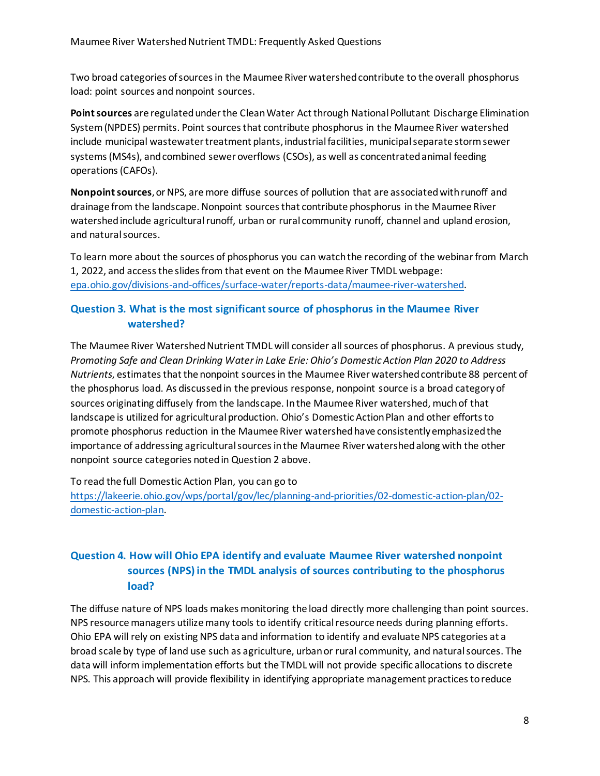Two broad categories of sources in the Maumee River watershed contribute to the overall phosphorus load: point sources and nonpoint sources.

**Point sources** are regulated under the Clean Water Act through National Pollutant Discharge Elimination System (NPDES) permits. Point sources that contribute phosphorus in the Maumee River watershed include municipal wastewater treatment plants, industrial facilities, municipal separate storm sewer systems (MS4s), and combined sewer overflows (CSOs), as well as concentrated animal feeding operations (CAFOs).

**Nonpoint sources**, or NPS, are more diffuse sources of pollution that are associated with runoff and drainage from the landscape. Nonpoint sources that contribute phosphorus in the Maumee River watershed include agricultural runoff, urban or rural community runoff, channel and upland erosion, and natural sources.

To learn more about the sources of phosphorus you can watch the recording of the webinar from March 1, 2022, and access the slides from that event on the Maumee River TMDL webpage: [epa.ohio.gov/divisions-and-offices/surface-water/reports-data/maumee-river-watershed](https://epa.ohio.gov/divisions-and-offices/surface-water/reports-data/maumee-river-watershed).

# **Question 3. What is the most significant source of phosphorus in the Maumee River watershed?**

The Maumee River Watershed Nutrient TMDL will consider all sources of phosphorus. A previous study, *Promoting Safe and Clean Drinking Water in Lake Erie: Ohio's Domestic Action Plan 2020 to Address Nutrients*, estimates that the nonpoint sources in the Maumee River watershed contribute 88 percent of the phosphorus load. As discussed in the previous response, nonpoint source is a broad category of sources originating diffusely from the landscape. In the Maumee River watershed, much of that landscape is utilized for agricultural production. Ohio's Domestic Action Plan and other efforts to promote phosphorus reduction in the Maumee River watershedhave consistently emphasized the importance of addressing agricultural sources in the Maumee River watershedalong with the other nonpoint source categories noted in Question 2 above.

To read the full Domestic Action Plan, you can go to

[https://lakeerie.ohio.gov/wps/portal/gov/lec/planning-and-priorities/02-domestic-action-plan/02](https://lakeerie.ohio.gov/wps/portal/gov/lec/planning-and-priorities/02-domestic-action-plan/02-domestic-action-plan) [domestic-action-plan.](https://lakeerie.ohio.gov/wps/portal/gov/lec/planning-and-priorities/02-domestic-action-plan/02-domestic-action-plan)

# **Question 4. How will Ohio EPA identify and evaluate Maumee River watershed nonpoint sources (NPS) in the TMDL analysis of sources contributing to the phosphorus load?**

The diffuse nature of NPS loads makes monitoring the load directly more challenging than point sources. NPS resource managers utilize many tools to identify critical resource needs during planning efforts. Ohio EPA will rely on existing NPS data and information to identify and evaluate NPS categories at a broad scale by type of land use such as agriculture, urban or rural community, and natural sources. The data will inform implementation efforts but the TMDL will not provide specific allocations to discrete NPS. This approach will provide flexibility in identifying appropriate management practices to reduce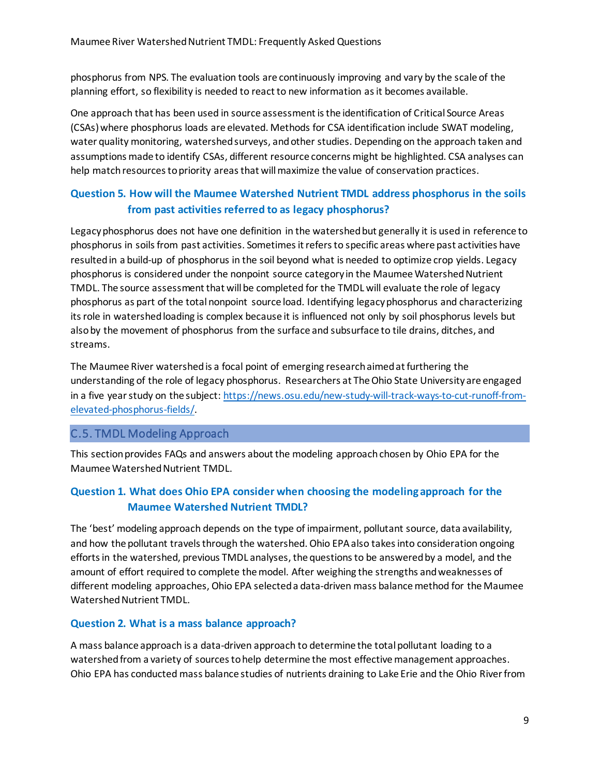phosphorus from NPS. The evaluation tools are continuously improving and vary by the scale of the planning effort, so flexibility is needed to react to new information as it becomes available.

One approach that has been used in source assessment is the identification of Critical Source Areas (CSAs) where phosphorus loads are elevated. Methods for CSA identification include SWAT modeling, water quality monitoring, watershed surveys, and other studies. Depending on the approach taken and assumptions made to identify CSAs, different resource concerns might be highlighted. CSA analyses can help match resourcesto priority areas that will maximize the value of conservation practices.

# **Question 5. How will the Maumee Watershed Nutrient TMDL address phosphorus in the soils from past activities referred to as legacy phosphorus?**

Legacy phosphorus does not have one definition in the watershed but generally it is used in reference to phosphorus in soils from past activities. Sometimesit refers to specific areas where past activities have resulted in a build-up of phosphorus in the soil beyond what is needed to optimize crop yields. Legacy phosphorus is considered under the nonpoint source category in the Maumee Watershed Nutrient TMDL. The source assessment that will be completed for the TMDL will evaluate the role of legacy phosphorus as part of the total nonpoint source load. Identifying legacy phosphorus and characterizing itsrole in watershed loading is complex because it is influenced not only by soil phosphorus levels but also by the movement of phosphorus from the surface and subsurface to tile drains, ditches, and streams.

The Maumee River watershed is a focal point of emerging research aimed at furthering the understanding of the role of legacy phosphorus. Researchers at The Ohio State University are engaged in a five year study on the subject[: https://news.osu.edu/new-study-will-track-ways-to-cut-runoff-from](https://news.osu.edu/new-study-will-track-ways-to-cut-runoff-from-elevated-phosphorus-fields/)[elevated-phosphorus-fields/.](https://news.osu.edu/new-study-will-track-ways-to-cut-runoff-from-elevated-phosphorus-fields/)

### <span id="page-8-0"></span>C.5. TMDL Modeling Approach

This section provides FAQs and answers about the modeling approach chosen by Ohio EPA for the Maumee Watershed Nutrient TMDL.

# **Question 1. What does Ohio EPA consider when choosing the modeling approach for the Maumee Watershed Nutrient TMDL?**

The 'best' modeling approach depends on the type of impairment, pollutant source, data availability, and how the pollutant travels through the watershed. Ohio EPA also takesinto consideration ongoing efforts in the watershed, previous TMDL analyses, the questions to be answered by a model, and the amount of effort required to complete the model. After weighing the strengths and weaknesses of different modeling approaches, Ohio EPA selecteda data-driven mass balance method for the Maumee Watershed Nutrient TMDL.

#### **Question 2. What is a mass balance approach?**

A mass balance approach is a data-driven approach to determine the total pollutant loading to a watershed from a variety of sources to help determine the most effective management approaches. Ohio EPA has conducted mass balance studies of nutrients draining to Lake Erie and the Ohio River from